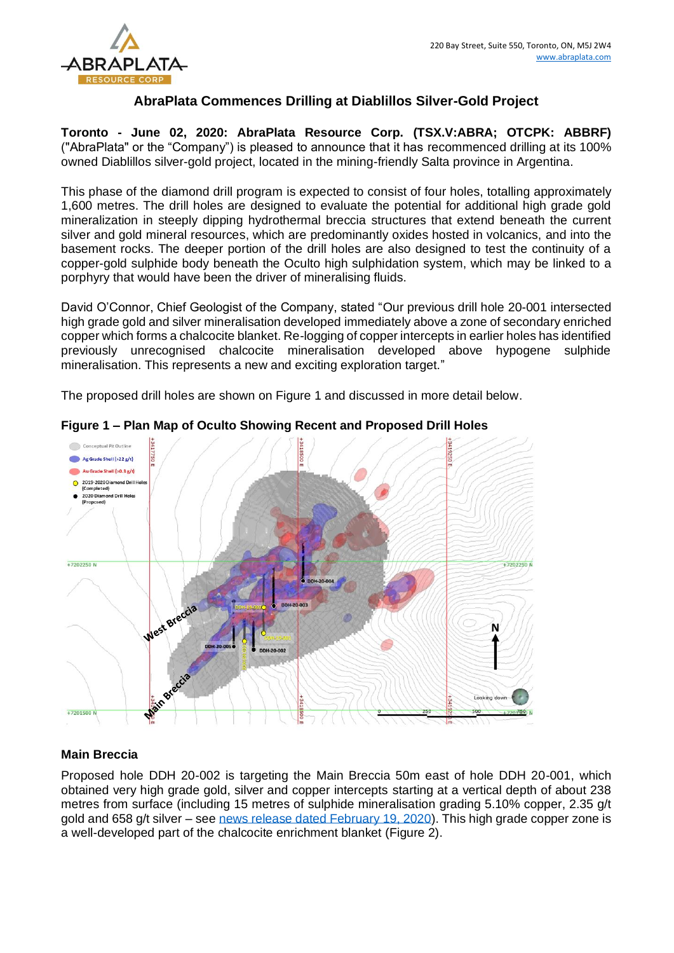

# **AbraPlata Commences Drilling at Diablillos Silver-Gold Project**

**Toronto - June 02, 2020: AbraPlata Resource Corp. (TSX.V:ABRA; OTCPK: ABBRF)**  ("AbraPlata" or the "Company") is pleased to announce that it has recommenced drilling at its 100% owned Diablillos silver-gold project, located in the mining-friendly Salta province in Argentina.

This phase of the diamond drill program is expected to consist of four holes, totalling approximately 1,600 metres. The drill holes are designed to evaluate the potential for additional high grade gold mineralization in steeply dipping hydrothermal breccia structures that extend beneath the current silver and gold mineral resources, which are predominantly oxides hosted in volcanics, and into the basement rocks. The deeper portion of the drill holes are also designed to test the continuity of a copper-gold sulphide body beneath the Oculto high sulphidation system, which may be linked to a porphyry that would have been the driver of mineralising fluids.

David O'Connor, Chief Geologist of the Company, stated "Our previous drill hole 20-001 intersected high grade gold and silver mineralisation developed immediately above a zone of secondary enriched copper which forms a chalcocite blanket. Re-logging of copper intercepts in earlier holes has identified previously unrecognised chalcocite mineralisation developed above hypogene sulphide mineralisation. This represents a new and exciting exploration target."

The proposed drill holes are shown on Figure 1 and discussed in more detail below.



**Figure 1 – Plan Map of Oculto Showing Recent and Proposed Drill Holes**

## **Main Breccia**

Proposed hole DDH 20-002 is targeting the Main Breccia 50m east of hole DDH 20-001, which obtained very high grade gold, silver and copper intercepts starting at a vertical depth of about 238 metres from surface (including 15 metres of sulphide mineralisation grading 5.10% copper, 2.35 g/t gold and 658 g/t silver – see [news release dated February 19, 2020\)](https://www.abraplata.com/news-releases/abraplata-intercepts-14-metres-of-640-gt-gold--197-gt-silver-and-identifies-high-grade-copper-zone-with-intercept-of-15-metres-of-51-copper-235-gt-gold--658-gt-silver). This high grade copper zone is a well-developed part of the chalcocite enrichment blanket (Figure 2).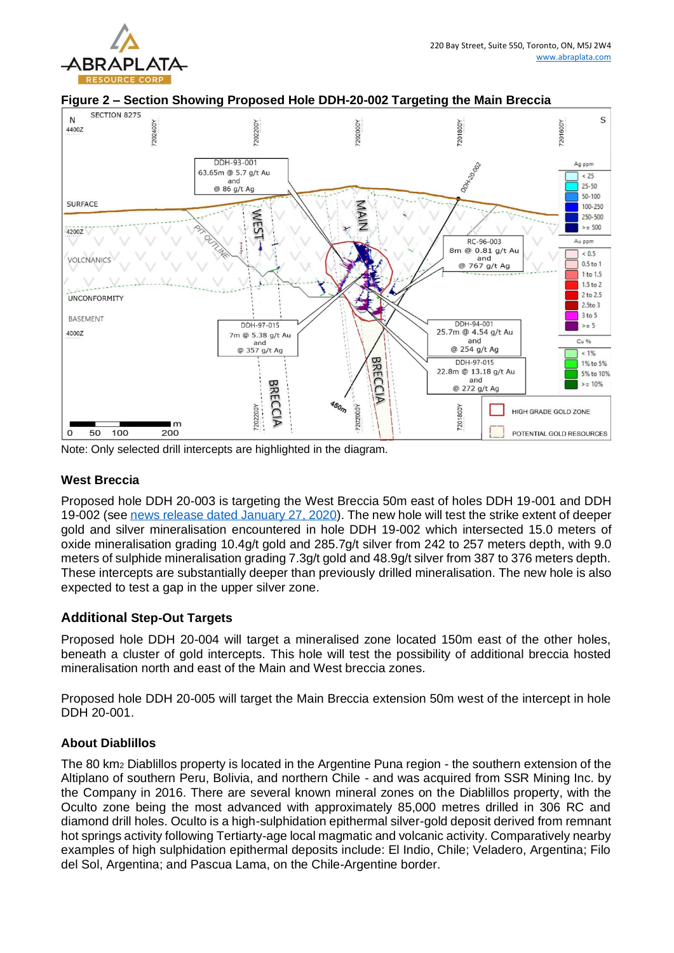



**Figure 2 – Section Showing Proposed Hole DDH-20-002 Targeting the Main Breccia**

Note: Only selected drill intercepts are highlighted in the diagram.

#### **West Breccia**

Proposed hole DDH 20-003 is targeting the West Breccia 50m east of holes DDH 19-001 and DDH 19-002 (see [news release dated January 27, 2020\)](https://www.abraplata.com/news-releases/abraplata-intersects-175-metres-of-604-gt-silver-and-70-metres-of-206-gt-gold-with-202-gt-silver-at-diablillos-project). The new hole will test the strike extent of deeper gold and silver mineralisation encountered in hole DDH 19-002 which intersected 15.0 meters of oxide mineralisation grading 10.4g/t gold and 285.7g/t silver from 242 to 257 meters depth, with 9.0 meters of sulphide mineralisation grading 7.3g/t gold and 48.9g/t silver from 387 to 376 meters depth. These intercepts are substantially deeper than previously drilled mineralisation. The new hole is also expected to test a gap in the upper silver zone.

## **Additional Step-Out Targets**

Proposed hole DDH 20-004 will target a mineralised zone located 150m east of the other holes, beneath a cluster of gold intercepts. This hole will test the possibility of additional breccia hosted mineralisation north and east of the Main and West breccia zones.

Proposed hole DDH 20-005 will target the Main Breccia extension 50m west of the intercept in hole DDH 20-001.

#### **About Diablillos**

The 80 km<sup>2</sup> Diablillos property is located in the Argentine Puna region - the southern extension of the Altiplano of southern Peru, Bolivia, and northern Chile - and was acquired from SSR Mining Inc. by the Company in 2016. There are several known mineral zones on the Diablillos property, with the Oculto zone being the most advanced with approximately 85,000 metres drilled in 306 RC and diamond drill holes. Oculto is a high-sulphidation epithermal silver-gold deposit derived from remnant hot springs activity following Tertiarty-age local magmatic and volcanic activity. Comparatively nearby examples of high sulphidation epithermal deposits include: El Indio, Chile; Veladero, Argentina; Filo del Sol, Argentina; and Pascua Lama, on the Chile-Argentine border.